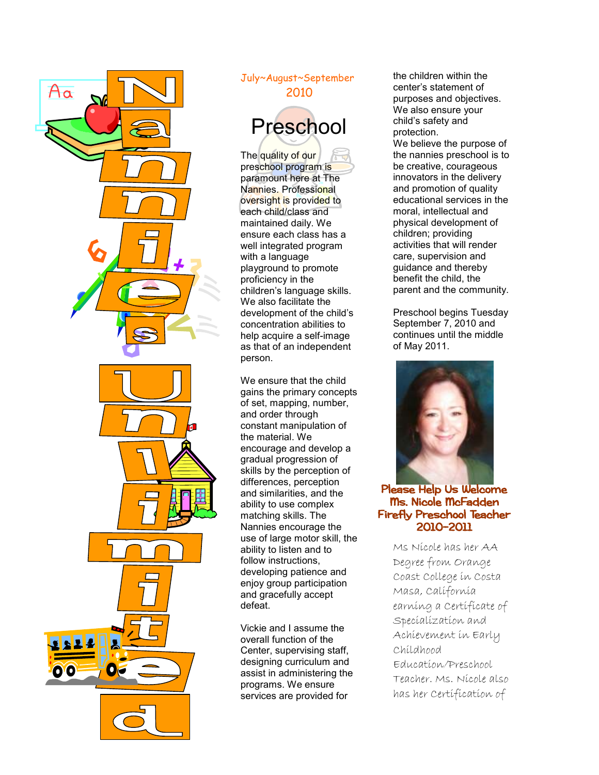

## July~August~September 2010 Preschool

The quality of our preschool program is paramount here at The Nannies. Professional oversight is provided to each child/class and maintained daily. We ensure each class has a well integrated program with a language playground to promote proficiency in the children's language skills. We also facilitate the development of the child's concentration abilities to help acquire a self-image as that of an independent person.

We ensure that the child gains the primary concepts of set, mapping, number, and order through constant manipulation of the material. We encourage and develop a gradual progression of skills by the perception of differences, perception and similarities, and the ability to use complex matching skills. The Nannies encourage the use of large motor skill, the ability to listen and to follow instructions, developing patience and enjoy group participation and gracefully accept defeat.

Vickie and I assume the overall function of the Center, supervising staff, designing curriculum and assist in administering the programs. We ensure services are provided for

the children within the center's statement of purposes and objectives. We also ensure your child's safety and protection. We believe the purpose of the nannies preschool is to be creative, courageous innovators in the delivery and promotion of quality educational services in the moral, intellectual and physical development of children; providing activities that will render care, supervision and guidance and thereby benefit the child, the parent and the community.

Preschool begins Tuesday September 7, 2010 and continues until the middle of May 2011.



## Please Help Us Welcome Ms. Nicole McFadden Firefly Preschool Teacher 2010-2011

Ms Nicole has her AA Degree from Orange Coast College in Costa Masa, California earning a Certificate of Specialization and Achievement in Early Childhood Education/Preschool Teacher. Ms. Nicole also has her Certification of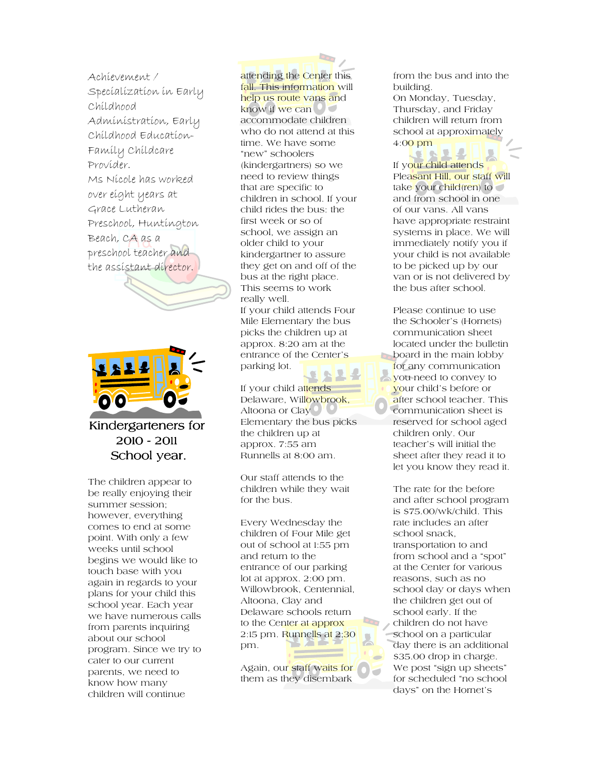Achievement / Specialization in Early Childhood Administration, Early Childhood Education-Family Childcare Provider. Ms Nicole has worked over eight years at Grace Lutheran Preschool, Huntington Beach, CA as a preschool teacher and the assistant director.



Kindergarteners for 2010 -2011 School year.

The children appear to be really enjoying their summer session; however, everything comes to end at some point. With only a few weeks until school begins we would like to touch base with you again in regards to your plans for your child this school year. Each year we have numerous calls from parents inquiring about our school program. Since we try to cater to our current parents, we need to know how many children will continue

attending the Center this fall. This information will help us route vans and know if we can  $\circ$ accommodate children who do not attend at this time. We have some "new" schoolers (kindergartners) so we need to review things that are specific to children in school. If your child rides the bus: the first week or so of school, we assign an older child to your kindergartner to assure they get on and off of the bus at the right place. This seems to work really well. If your child attends Four Mile Elementary the bus picks the children up at approx. 8:20 am at the entrance of the Center's parking lot.

If your child attends Delaware, Willowbrook, Altoona or Clay<sup>O</sup> Elementary the bus picks the children up at approx. 7:55 am Runnells at 8:00 am.

Our staff attends to the children while they wait for the bus.

Every Wednesday the children of Four Mile get out of school at 1:55 pm and return to the entrance of our parking lot at approx. 2:00 pm. Willowbrook, Centennial, Altoona, Clay and Delaware schools return to the Center at approx 2:15 pm. Runnells at 2;30 pm.

Again, our staff waits for them as they disembark

from the bus and into the building. On Monday, Tuesday, Thursday, and Friday children will return from school at approximately 4:00 pm

If your child attends Pleasant Hill, our staff will take your child(ren) to and from school in one of our vans. All vans have appropriate restraint systems in place. We will immediately notify you if your child is not available to be picked up by our van or is not delivered by the bus after school.

Please continue to use the Schooler's (Hornets) communication sheet located under the bulletin **b** board in the main lobby for any communication you need to convey to your child's before or after school teacher. This communication sheet is reserved for school aged children only. Our teacher's will initial the sheet after they read it to let you know they read it.

The rate for the before and after school program is \$75.00/wk/child. This rate includes an after school snack, transportation to and from school and a "spot" at the Center for various reasons, such as no school day or days when the children get out of school early. If the children do not have school on a particular day there is an additional \$35.00 drop in charge. We post "sign up sheets" for scheduled "no school days" on the Hornet's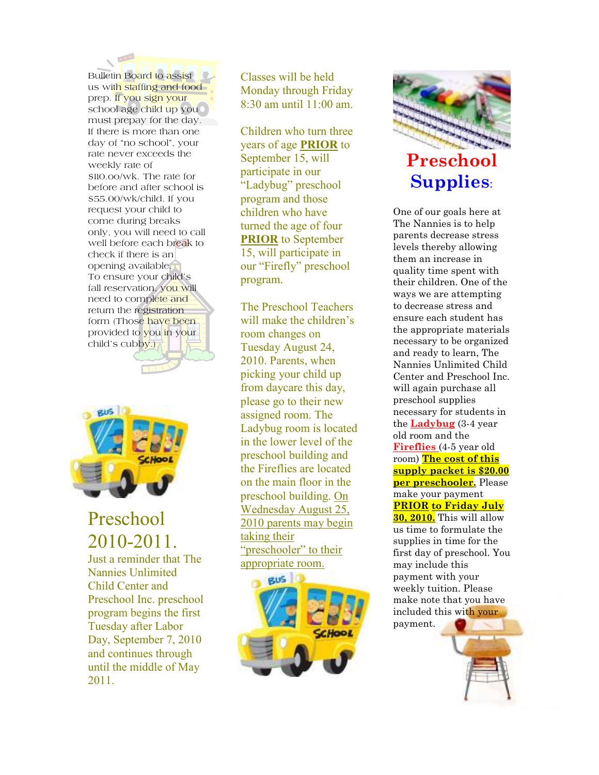Bulletin Board to assist us with staffing and food prep. If you sign your school age child up you c must prepay for the day. If there is more than one day of "no school", your rate never exceeds the weekly rate of \$110.oo/wk. The rate for before and after school is \$55.00/wk/child. If you request your child to come during breaks only, you will need to call well before each break to check if there is an opening available. To ensure your child's fall reservation, you will need to complete and return the registration form (Those have been provided to you in your child's cubby.)



## Preschool 2010-2011.

Just a reminder that The Nannies Unlimited Child Center and Preschool Inc. preschool program begins the first Tuesday after Labor Day, September 7, 2010 and continues through until the middle of May 2011.

Classes will be held Monday through Friday  $8:30$  am until  $11:00$  am

Children who turn three years of age **PRIOR** to September 15, will participate in our "Ladybug" preschool program and those children who have turned the age of four **PRIOR** to September 15, will participate in our "Firefly" preschool program.

The Preschool Teachers will make the children's room changes on Tuesday August 24, 2010. Parents, when picking your child up from daycare this day, please go to their new assigned room. The Ladybug room is located in the lower level of the preschool building and the Fireflies are located on the main floor in the preschool building. On Wednesday August 25, 2010 parents may begin taking their "preschooler" to their appropriate room.





## **Supplies**:

One of our goals here at The Nannies is to help parents decrease stress levels thereby allowing them an increase in quality time spent with their children. One of the ways we are attempting to decrease stress and ensure each student has the appropriate materials necessary to be organized and ready to learn, The Nannies Unlimited Child Center and Preschool Inc. will again purchase all preschool supplies necessary for students in the **Ladybug** (3-4 year old room and the **Fireflies** (4-5 year old room) **The cost of this supply packet is \$20.00 per preschooler.** Please make your payment **PRIOR to Friday July 30, 2010.** This will allow us time to formulate the supplies in time for the first day of preschool. You may include this payment with your weekly tuition. Please make note that you have included this with your payment.